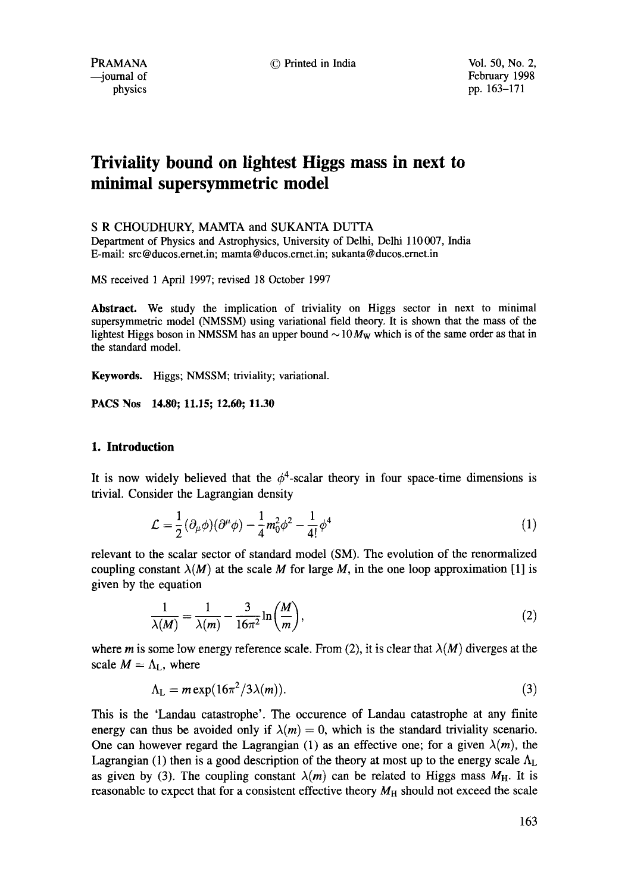©Printed in India Vol. 50, No. 2,

# **Triviality bound on lightest Higgs mass in next to minimal supersymmetric model**

## S R CHOUDHURY, MAMTA and SUKANTA DUTTA

Department of Physics and Astrophysics, University of Delhi, Delhi 110 007, India E-mail: src@ducos.emet.in; mamta@ducos.ernet.in; sukanta@ducos.ernet.in

MS received 1 April 1997; revised 18 October 1997

**Abstract.** We study the implication of triviality on Higgs sector in next to minimal supersymmetric model (NMSSM) using variational field theory. It is shown that the mass of the lightest Higgs boson in NMSSM has an upper bound  $\sim 10 M_W$  which is of the same order as that in the standard model.

**Keywords.** Higgs; NMSSM; triviality; variational.

**PACS Nos 14.80; 11.15; 12.60; 11.30** 

## **1. Introduction**

It is now widely believed that the  $\phi^4$ -scalar theory in four space-time dimensions is trivial. Consider the Lagrangian density

$$
\mathcal{L} = \frac{1}{2} (\partial_{\mu} \phi)(\partial^{\mu} \phi) - \frac{1}{4} m_0^2 \phi^2 - \frac{1}{4!} \phi^4
$$
 (1)

relevant to the scalar sector of standard model (SM). The evolution of the renormalized coupling constant  $\lambda(M)$  at the scale M for large M, in the one loop approximation [1] is given by the equation

$$
\frac{1}{\lambda(M)} = \frac{1}{\lambda(m)} - \frac{3}{16\pi^2} \ln\left(\frac{M}{m}\right),\tag{2}
$$

where m is some low energy reference scale. From (2), it is clear that  $\lambda(M)$  diverges at the scale  $M = \Lambda_L$ , where

$$
\Lambda_{\mathsf{L}} = m \exp(16\pi^2/3\lambda(m)).\tag{3}
$$

This is the 'Landau catastrophe'. The occurence of Landau catastrophe at any finite energy can thus be avoided only if  $\lambda(m) = 0$ , which is the standard triviality scenario. One can however regard the Lagrangian (1) as an effective one; for a given  $\lambda(m)$ , the Lagrangian (1) then is a good description of the theory at most up to the energy scale  $\Lambda_L$ as given by (3). The coupling constant  $\lambda(m)$  can be related to Higgs mass  $M_H$ . It is reasonable to expect that for a consistent effective theory  $M_H$  should not exceed the scale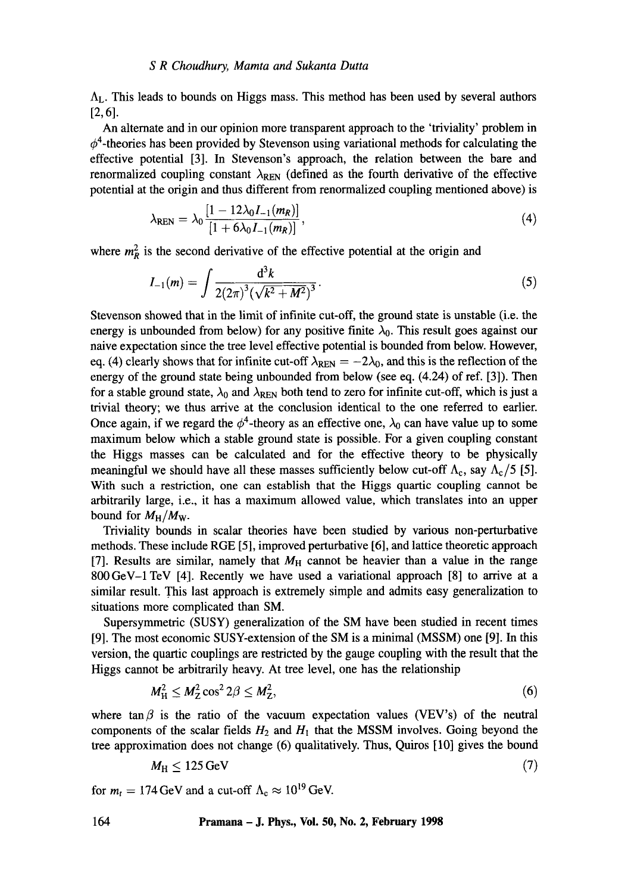#### *S R Choudhury, Mamta and Sukanta Dutta*

 $\Lambda_{\rm L}$ . This leads to bounds on Higgs mass. This method has been used by several authors [2,6].

An alternate and in our opinion more transparent approach to the 'triviality' problem in  $\phi^4$ -theories has been provided by Stevenson using variational methods for calculating the effective potential [3]. In Stevenson's approach, the relation between the bare and renormalized coupling constant  $\lambda_{\text{REN}}$  (defined as the fourth derivative of the effective potential at the origin and thus different from renormalized coupling mentioned above) is

$$
\lambda_{\rm REN} = \lambda_0 \frac{[1 - 12\lambda_0 I_{-1}(m_R)]}{[1 + 6\lambda_0 I_{-1}(m_R)]},\tag{4}
$$

where  $m_R^2$  is the second derivative of the effective potential at the origin and

$$
I_{-1}(m) = \int \frac{d^3k}{2(2\pi)^3(\sqrt{k^2 + M^2})^3}.
$$
 (5)

Stevenson showed that in the limit of infinite cut-off, the ground state is unstable (i.e. the energy is unbounded from below) for any positive finite  $\lambda_0$ . This result goes against our naive expectation since the tree level effective potential is bounded from below. However, eq. (4) clearly shows that for infinite cut-off  $\lambda_{\rm REN} = -2\lambda_0$ , and this is the reflection of the energy of the ground state being unbounded from below (see eq. (4.24) of ref. [3]). Then for a stable ground state,  $\lambda_0$  and  $\lambda_{\rm REN}$  both tend to zero for infinite cut-off, which is just a trivial theory; we thus arrive at the conclusion identical to the one referred to earlier. Once again, if we regard the  $\phi^4$ -theory as an effective one,  $\lambda_0$  can have value up to some maximum below which a stable ground state is possible. For a given coupling constant the Higgs masses can be calculated and for the effective theory to be physically meaningful we should have all these masses sufficiently below cut-off  $\Lambda_c$ , say  $\Lambda_c/5$  [5]. With such a restriction, one can establish that the Higgs quartic coupling cannot be arbitrarily large, i.e., it has a maximum allowed value, which translates into an upper bound for  $M_H/M_W$ .

Triviality bounds in scalar theories have been studied by various non-perturbative methods. These include RGE [5], improved perturbative [6], and lattice theoretic approach [7]. Results are similar, namely that  $M_H$  cannot be heavier than a value in the range 800GeV-1 TeV [4]. Recently we have used a variational approach [8] to arrive at a similar result. This last approach is extremely simple and admits easy generalization to situations more complicated than SM.

Supersymmetric (SUSY) generalization of the SM have been studied in recent times [9]. The most economic SUSY-extension of the SM is a minimal (MSSM) one [9]. In this version, the quartic couplings are restricted by the gauge coupling with the result that the Higgs cannot be arbitrarily heavy. At tree level, one has the relationship

$$
M_H^2 \le M_Z^2 \cos^2 2\beta \le M_Z^2,\tag{6}
$$

where tan  $\beta$  is the ratio of the vacuum expectation values (VEV's) of the neutral components of the scalar fields  $H_2$  and  $H_1$  that the MSSM involves. Going beyond the tree approximation does not change (6) qualitatively. Thus, Quiros [10] gives the bound

$$
M_{\rm H} \le 125 \,\text{GeV} \tag{7}
$$

for  $m_t = 174 \,\text{GeV}$  and a cut-off  $\Lambda_c \approx 10^{19} \,\text{GeV}$ .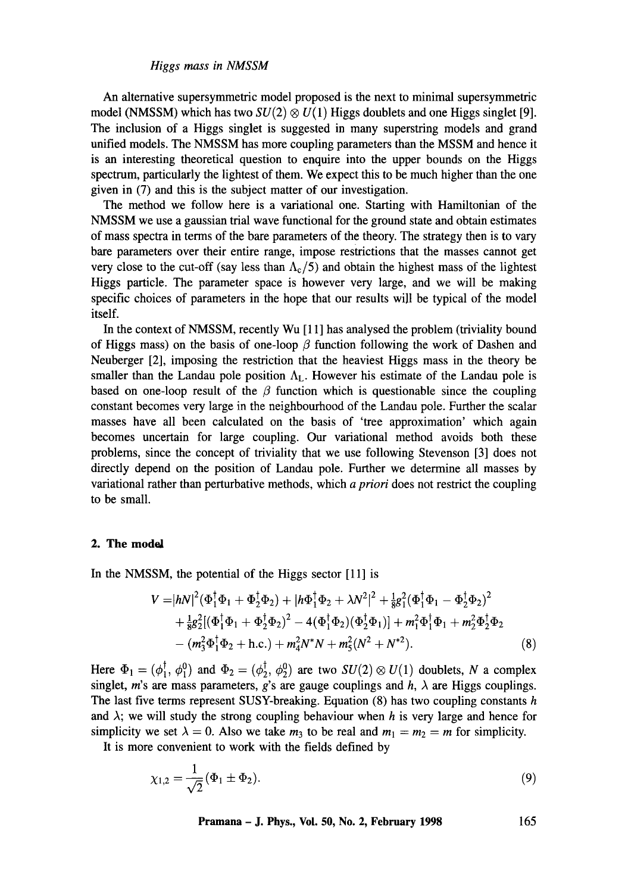#### *Higgs mass in NMSSM*

An altemative supersymmetric model proposed is the next to minimal supersymmetric model (NMSSM) which has two  $SU(2) \otimes U(1)$  Higgs doublets and one Higgs singlet [9]. The inclusion of a Higgs singlet is suggested in many superstring models and grand unified models. The NMSSM has more coupling parameters than the MSSM and hence it is an interesting theoretical question to enquire into the upper bounds on the Higgs spectrum, particularly the lightest of them. We expect this to be much higher than the one given in (7) and this is the subject matter of our investigation.

The method we follow here is a variational one. Starting with Hamiltonian of the NMSSM we use a gaussian trial wave functional for the ground state and obtain estimates of mass spectra in terms of the bare parameters of the theory. The strategy then is to vary bare parameters over their entire range, impose restrictions that the masses cannot get very close to the cut-off (say less than  $\Lambda_c/5$ ) and obtain the highest mass of the lightest Higgs particle. The parameter space is however very large, and we will be making specific choices of parameters in the hope that our results will be typical of the model itself.

In the context of NMSSM, recently Wu [11] has analysed the problem (triviality bound of Higgs mass) on the basis of one-loop  $\beta$  function following the work of Dashen and Neuberger [2], imposing the restriction that the heaviest Higgs mass in the theory be smaller than the Landau pole position  $\Lambda_L$ . However his estimate of the Landau pole is based on one-loop result of the  $\beta$  function which is questionable since the coupling constant becomes very large in the neighbourhood of the Landau pole. Further the scalar masses have all been calculated on the basis of 'tree approximation' which again becomes uncertain for large coupling. Our variational method avoids both these problems, since the concept of triviality that we use following Stevenson [3] does not directly depend on the position of Landau pole. Further we determine all masses by variational rather than perturbative methods, which *a priori* does not restrict the coupling to be small.

## **2. The modal**

In the NMSSM, the potential of the Higgs sector [11] is

$$
V = |hN|^2 (\Phi_1^{\dagger} \Phi_1 + \Phi_2^{\dagger} \Phi_2) + |h\Phi_1^{\dagger} \Phi_2 + \lambda N^2|^2 + \frac{1}{8}g_1^2 (\Phi_1^{\dagger} \Phi_1 - \Phi_2^{\dagger} \Phi_2)^2 + \frac{1}{8}g_2^2 [(\Phi_1^{\dagger} \Phi_1 + \Phi_2^{\dagger} \Phi_2)^2 - 4(\Phi_1^{\dagger} \Phi_2)(\Phi_2^{\dagger} \Phi_1)] + m_1^2 \Phi_1^{\dagger} \Phi_1 + m_2^2 \Phi_2^{\dagger} \Phi_2 - (m_3^2 \Phi_1^{\dagger} \Phi_2 + \text{h.c.}) + m_4^2 N^* N + m_5^2 (N^2 + N^{*2}).
$$
\n(8)

Here  $\Phi_1 = (\phi_1^{\dagger}, \phi_1^0)$  and  $\Phi_2 = (\phi_2^{\dagger}, \phi_2^0)$  are two  $SU(2) \otimes U(1)$  doublets, N a complex singlet, m's are mass parameters, g's are gauge couplings and  $h$ ,  $\lambda$  are Higgs couplings. The last five terms represent SUSY-breaking. Equation (8) has two coupling constants h and  $\lambda$ ; we will study the strong coupling behaviour when h is very large and hence for simplicity we set  $\lambda = 0$ . Also we take  $m_3$  to be real and  $m_1 = m_2 = m$  for simplicity.

It is more convenient to work with the fields defined by

$$
\chi_{1,2} = \frac{1}{\sqrt{2}} (\Phi_1 \pm \Phi_2). \tag{9}
$$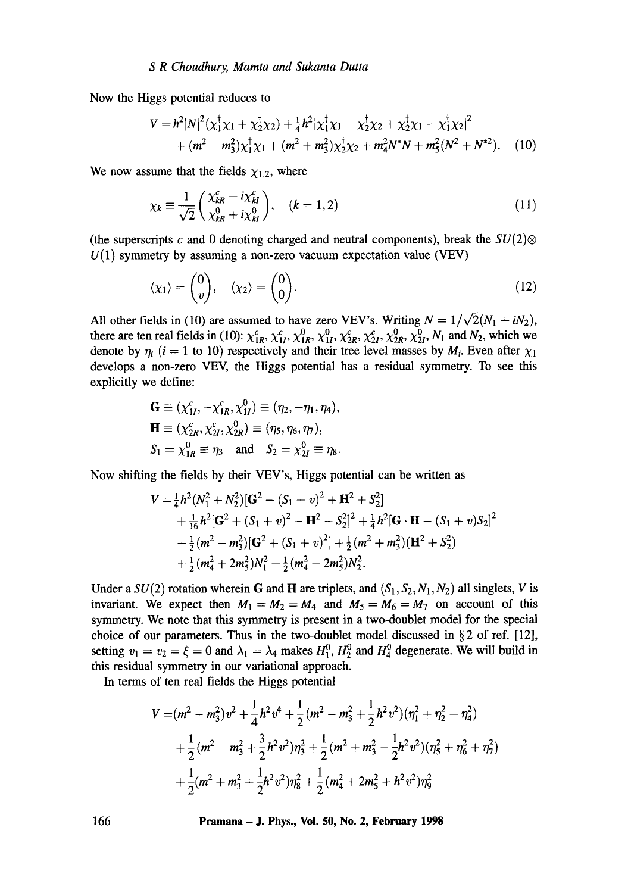Now the Higgs potential reduces to

$$
V = h^{2} |N|^{2} (\chi_{1}^{\dagger} \chi_{1} + \chi_{2}^{\dagger} \chi_{2}) + \frac{1}{4} h^{2} | \chi_{1}^{\dagger} \chi_{1} - \chi_{2}^{\dagger} \chi_{2} + \chi_{2}^{\dagger} \chi_{1} - \chi_{1}^{\dagger} \chi_{2} |^{2} + (m^{2} - m_{3}^{2}) \chi_{1}^{\dagger} \chi_{1} + (m^{2} + m_{3}^{2}) \chi_{2}^{\dagger} \chi_{2} + m_{4}^{2} N^{*} N + m_{5}^{2} (N^{2} + N^{*2}).
$$
 (10)

We now assume that the fields  $\chi_{1,2}$ , where

$$
\chi_k \equiv \frac{1}{\sqrt{2}} \begin{pmatrix} \chi_{kR}^c + i\chi_{kI}^c \\ \chi_{kR}^0 + i\chi_{kl}^0 \end{pmatrix}, \quad (k = 1, 2)
$$
\n(11)

(the superscripts c and 0 denoting charged and neutral components), break the  $SU(2)$  $U(1)$  symmetry by assuming a non-zero vacuum expectation value (VEV)

$$
\langle \chi_1 \rangle = \begin{pmatrix} 0 \\ v \end{pmatrix}, \quad \langle \chi_2 \rangle = \begin{pmatrix} 0 \\ 0 \end{pmatrix}.
$$
 (12)

All other fields in (10) are assumed to have zero VEV's. Writing  $N = 1/\sqrt{2}(N_1 + iN_2)$ , there are ten real fields in (10):  $\chi_{IR}^c$ ,  $\chi_{II}^r$ ,  $\chi_{IR}^{\prime\prime}$ ,  $\chi_{2R}^{\prime\prime}$ ,  $\chi_{2R}^c$ ,  $\chi_{2R}^{\prime\prime}$ ,  $\chi_{2I}^{\prime\prime}$ ,  $N_1$  and  $N_2$ , which we denote by  $\eta_i$  (i = 1 to 10) respectively and their tree level masses by  $M_i$ . Even after  $\chi_1$ develops a non-zero VEV, the Higgs potential has a residual symmetry. To see this explicitly we define:

$$
\mathbf{G} \equiv (\chi_{1I}^c, -\chi_{1R}^c, \chi_{1I}^0) \equiv (\eta_2, -\eta_1, \eta_4), \n\mathbf{H} \equiv (\chi_{2R}^c, \chi_{2I}^c, \chi_{2R}^0) \equiv (\eta_5, \eta_6, \eta_7), \nS_1 = \chi_{1R}^0 \equiv \eta_3 \text{ and } S_2 = \chi_{2I}^0 \equiv \eta_8.
$$

Now shifting the fields by their VEV's, Higgs potential can be written as

$$
V = \frac{1}{4}h^2(N_1^2 + N_2^2)[\mathbf{G}^2 + (S_1 + v)^2 + \mathbf{H}^2 + S_2^2]
$$
  
+  $\frac{1}{16}h^2[\mathbf{G}^2 + (S_1 + v)^2 - \mathbf{H}^2 - S_2^2]^2 + \frac{1}{4}h^2[\mathbf{G} \cdot \mathbf{H} - (S_1 + v)S_2]^2$   
+  $\frac{1}{2}(m^2 - m_3^2)[\mathbf{G}^2 + (S_1 + v)^2] + \frac{1}{2}(m^2 + m_3^2)(\mathbf{H}^2 + S_2^2)$   
+  $\frac{1}{2}(m_4^2 + 2m_5^2)N_1^2 + \frac{1}{2}(m_4^2 - 2m_5^2)N_2^2$ .

Under a  $SU(2)$  rotation wherein G and H are triplets, and  $(S_1, S_2, N_1, N_2)$  all singlets, V is invariant. We expect then  $M_1 = M_2 = M_4$  and  $M_5 = M_6 = M_7$  on account of this symmetry. We note that this symmetry is present in a two-doublet model for the special choice of our parameters. Thus in the two-doublet model discussed in § 2 of ref. [12], setting  $v_1 = v_2 = \xi = 0$  and  $\lambda_1 = \lambda_4$  makes  $H_1^0$ ,  $H_2^0$  and  $H_4^0$  degenerate. We will build in this residual symmetry in our variational approach.

In terms of ten real fields the Higgs potential

$$
V = (m^2 - m_3^2)v^2 + \frac{1}{4}h^2v^4 + \frac{1}{2}(m^2 - m_3^2 + \frac{1}{2}h^2v^2)(\eta_1^2 + \eta_2^2 + \eta_4^2)
$$
  
+  $\frac{1}{2}(m^2 - m_3^2 + \frac{3}{2}h^2v^2)\eta_3^2 + \frac{1}{2}(m^2 + m_3^2 - \frac{1}{2}h^2v^2)(\eta_5^2 + \eta_6^2 + \eta_7^2)$   
+  $\frac{1}{2}(m^2 + m_3^2 + \frac{1}{2}h^2v^2)\eta_8^2 + \frac{1}{2}(m_4^2 + 2m_5^2 + h^2v^2)\eta_9^2$ 

**166 Pramana - J. Phys., Vol. 50, No. 2, February 1998**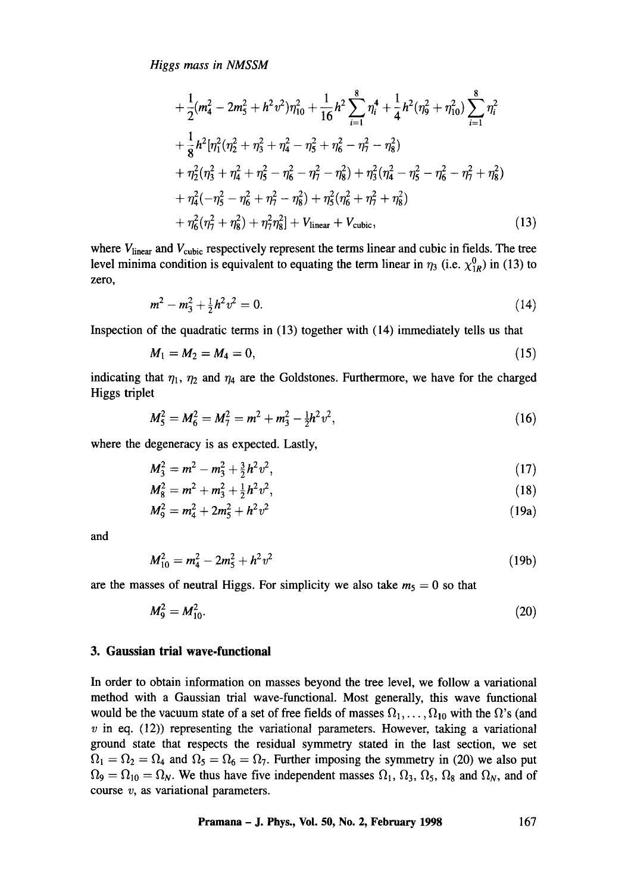*Higgs mass in NMSSM* 

$$
+\frac{1}{2}(m_4^2 - 2m_5^2 + h^2v^2)\eta_{10}^2 + \frac{1}{16}h^2\sum_{i=1}^8\eta_i^4 + \frac{1}{4}h^2(\eta_9^2 + \eta_{10}^2)\sum_{i=1}^8\eta_i^2
$$
  
+ 
$$
\frac{1}{8}h^2[\eta_1^2(\eta_2^2 + \eta_3^2 + \eta_4^2 - \eta_5^2 + \eta_6^2 - \eta_7^2 - \eta_8^2)
$$
  
+ 
$$
\eta_2^2(\eta_3^2 + \eta_4^2 + \eta_5^2 - \eta_6^2 - \eta_7^2 - \eta_8^2) + \eta_3^2(\eta_4^2 - \eta_5^2 - \eta_6^2 - \eta_7^2 + \eta_8^2)
$$
  
+ 
$$
\eta_4^2(-\eta_5^2 - \eta_6^2 + \eta_7^2 - \eta_8^2) + \eta_5^2(\eta_6^2 + \eta_7^2 + \eta_8^2)
$$
  
+ 
$$
\eta_6^2(\eta_7^2 + \eta_8^2) + \eta_7^2\eta_8^2] + V_{\text{linear}} + V_{\text{cubic}},
$$
 (13)

where  $V<sub>linear</sub>$  and  $V<sub>cubic</sub>$  respectively represent the terms linear and cubic in fields. The tree level minima condition is equivalent to equating the term linear in  $\eta_3$  (i.e.  $\chi^0_{1R}$ ) in (13) to zero,

$$
m^2 - m_3^2 + \frac{1}{2}h^2v^2 = 0. \tag{14}
$$

Inspection of the quadratic terms in (13) together with (14) immediately tells us that

$$
M_1 = M_2 = M_4 = 0,\t\t(15)
$$

indicating that  $\eta_1$ ,  $\eta_2$  and  $\eta_4$  are the Goldstones. Furthermore, we have for the charged Higgs triplet

$$
M_5^2 = M_6^2 = M_7^2 = m^2 + m_3^2 - \frac{1}{2}h^2v^2, \tag{16}
$$

where the degeneracy is as expected. Lastly,

$$
M_3^2 = m^2 - m_3^2 + \frac{3}{2}h^2v^2, \tag{17}
$$

$$
M_8^2 = m^2 + m_3^2 + \frac{1}{2}h^2v^2, \tag{18}
$$

$$
M_9^2 = m_4^2 + 2m_5^2 + h^2v^2 \tag{19a}
$$

and

$$
M_{10}^2 = m_4^2 - 2m_5^2 + h^2 v^2 \tag{19b}
$$

are the masses of neutral Higgs. For simplicity we also take  $m<sub>5</sub> = 0$  so that

$$
M_9^2 = M_{10}^2. \tag{20}
$$

## **3. Gaussian trial wave-functional**

In order to obtain information on masses beyond the tree level, we follow a variational method with a Gaussian trial wave-functional. Most generally, this wave functional would be the vacuum state of a set of free fields of masses  $\Omega_1, \ldots, \Omega_{10}$  with the  $\Omega$ 's (and  $v$  in eq. (12)) representing the variational parameters. However, taking a variational ground state that respects the residual symmetry stated in the last section, we set  $\Omega_1 = \Omega_2 = \Omega_4$  and  $\Omega_5 = \Omega_6 = \Omega_7$ . Further imposing the symmetry in (20) we also put  $\Omega_9 = \Omega_{10} = \Omega_N$ . We thus have five independent masses  $\Omega_1$ ,  $\Omega_3$ ,  $\Omega_5$ ,  $\Omega_8$  and  $\Omega_N$ , and of course  $v$ , as variational parameters.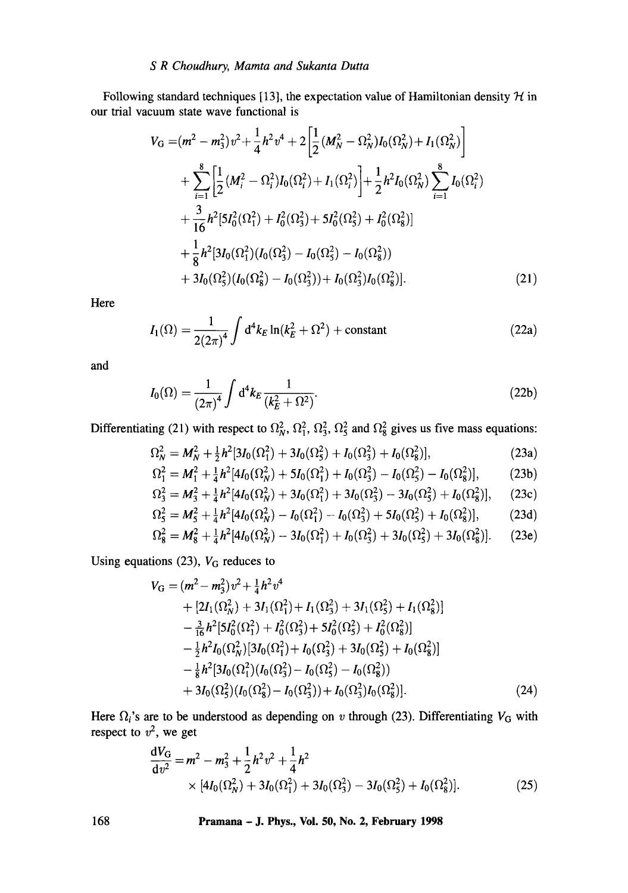## *S R Choudhury, Mamta and Sukanta Dutta*

Following standard techniques [13], the expectation value of Hamiltonian density  $H$  in our trial vacuum state wave functional is

$$
V_{G} = (m^{2} - m_{3}^{2})v^{2} + \frac{1}{4}h^{2}v^{4} + 2\left[\frac{1}{2}(M_{N}^{2} - \Omega_{N}^{2})I_{0}(\Omega_{N}^{2}) + I_{1}(\Omega_{N}^{2})\right] + \sum_{i=1}^{8}\left[\frac{1}{2}(M_{i}^{2} - \Omega_{i}^{2})I_{0}(\Omega_{i}^{2}) + I_{1}(\Omega_{i}^{2})\right] + \frac{1}{2}h^{2}I_{0}(\Omega_{N}^{2})\sum_{i=1}^{8}I_{0}(\Omega_{i}^{2}) + \frac{3}{16}h^{2}[5I_{0}^{2}(\Omega_{1}^{2}) + I_{0}^{2}(\Omega_{3}^{2}) + 5I_{0}^{2}(\Omega_{5}^{2}) + I_{0}^{2}(\Omega_{8}^{2})] + \frac{1}{8}h^{2}[3I_{0}(\Omega_{1}^{2})(I_{0}(\Omega_{3}^{2}) - I_{0}(\Omega_{5}^{2}) - I_{0}(\Omega_{8}^{2})) + 3I_{0}(\Omega_{5}^{2})(I_{0}(\Omega_{8}^{2}) - I_{0}(\Omega_{3}^{2})) + I_{0}(\Omega_{3}^{2})I_{0}(\Omega_{8}^{2})].
$$
\n(21)

Here

$$
I_1(\Omega) = \frac{1}{2(2\pi)^4} \int d^4 k_E \ln(k_E^2 + \Omega^2) + \text{constant}
$$
 (22a)

and

$$
I_0(\Omega) = \frac{1}{(2\pi)^4} \int d^4k_E \frac{1}{(k_E^2 + \Omega^2)}.
$$
 (22b)

Differentiating (21) with respect to  $\Omega_N^2$ ,  $\Omega_1^2$ ,  $\Omega_3^2$ ,  $\Omega_5^2$  and  $\Omega_8^2$  gives us five mass equations:

$$
\Omega_N^2 = M_N^2 + \frac{1}{2}h^2[3I_0(\Omega_1^2) + 3I_0(\Omega_5^2) + I_0(\Omega_3^2) + I_0(\Omega_8^2)],
$$
\n(23a)

$$
\Omega_1^2 = M_1^2 + \frac{1}{4}h^2[4I_0(\Omega_N^2) + 5I_0(\Omega_1^2) + I_0(\Omega_3^2) - I_0(\Omega_5^2) - I_0(\Omega_8^2)],\tag{23b}
$$

$$
\Omega_3^2 = M_3^2 + \frac{1}{4}h^2[4I_0(\Omega_N^2) + 3I_0(\Omega_1^2) + 3I_0(\Omega_3^2) - 3I_0(\Omega_2^2) + I_0(\Omega_8^2)], \quad (23c)
$$

$$
\Omega_5^2 = M_5^2 + \frac{1}{4}h^2[4I_0(\Omega_R^2) - I_0(\Omega_1^2) - I_0(\Omega_2^2) + 5I_0(\Omega_5^2) + I_0(\Omega_8^2)],
$$
\n(23d)

$$
\Omega_8^2 = M_8^2 + \frac{1}{4}h^2[4I_0(\Omega_N^2) - 3I_0(\Omega_1^2) + I_0(\Omega_3^2) + 3I_0(\Omega_5^2) + 3I_0(\Omega_8^2)].
$$
 (23e)

Using equations (23),  $V_G$  reduces to

$$
V_{\rm G} = (m^2 - m_3^2)v^2 + \frac{1}{4}h^2v^4
$$
  
+  $[2I_1(\Omega_N^2) + 3I_1(\Omega_1^2) + I_1(\Omega_3^2) + 3I_1(\Omega_5^2) + I_1(\Omega_8^2)]$   
-  $\frac{3}{16}h^2[5I_0^2(\Omega_1^2) + I_0^2(\Omega_3^2) + 5I_0^2(\Omega_5^2) + I_0^2(\Omega_8^2)]$   
-  $\frac{1}{2}h^2I_0(\Omega_N^2)[3I_0(\Omega_1^2) + I_0(\Omega_3^2) + 3I_0(\Omega_5^2) + I_0(\Omega_8^2)]$   
-  $\frac{1}{8}h^2[3I_0(\Omega_1^2)(I_0(\Omega_3^2) - I_0(\Omega_5^2) - I_0(\Omega_8^2))$   
+  $3I_0(\Omega_5^2)(I_0(\Omega_8^2) - I_0(\Omega_3^2)) + I_0(\Omega_3^2)I_0(\Omega_8^2)].$  (24)

Here  $\Omega_i$ 's are to be understood as depending on v through (23). Differentiating  $V_G$  with respect to  $v^2$ , we get

$$
\frac{dV_G}{dv^2} = m^2 - m_3^2 + \frac{1}{2}h^2v^2 + \frac{1}{4}h^2
$$
  
× [4I<sub>0</sub>( $\Omega_N^2$ ) + 3I<sub>0</sub>( $\Omega_1^2$ ) + 3I<sub>0</sub>( $\Omega_3^2$ ) – 3I<sub>0</sub>( $\Omega_5^2$ ) + I<sub>0</sub>( $\Omega_8^2$ )]. (25)

**168 Pramana - J. Phys., Vol. 50, No. 2, February 1998**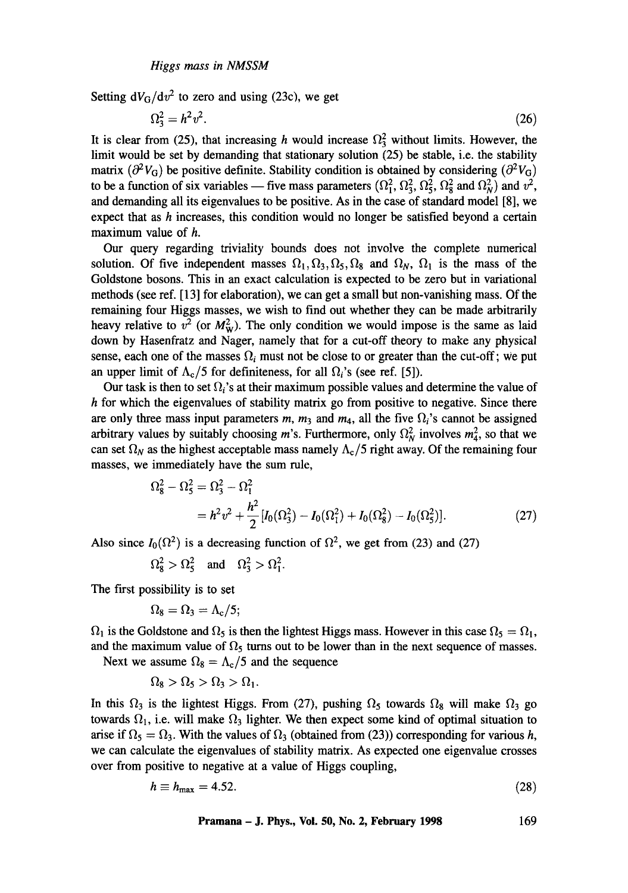Setting  $dV_G/dv^2$  to zero and using (23c), we get

$$
\Omega_3^2 = h^2 v^2. \tag{26}
$$

It is clear from (25), that increasing h would increase  $\Omega_3^2$  without limits. However, the limit would be set by demanding that stationary solution (25) be stable, i.e. the stability matrix ( $\partial^2 V_G$ ) be positive definite. Stability condition is obtained by considering ( $\partial^2 V_G$ ) to be a function of six variables — five mass parameters  $(\Omega_1^2, \Omega_3^2, \Omega_5^2, \Omega_8^2)$  and  $\Omega_N^2$  and  $v^2$ , and demanding all its eigenvalues to be positive. As in the case of standard model [8], we expect that as h increases, this condition would no longer be satisfied beyond a certain maximum value of h.

Our query regarding triviality bounds does not involve the complete numerical solution. Of five independent masses  $\Omega_1, \Omega_3, \Omega_5, \Omega_8$  and  $\Omega_N$ ,  $\Omega_1$  is the mass of the Goldstone bosons. This in an exact calculation is expected to be zero but in variational methods (see ref. [13] for elaboration), we can get a small but non-vanishing mass. Of the remaining four Higgs masses, we wish to find out whether they can be made arbitrarily heavy relative to  $v^2$  (or  $M_W^2$ ). The only condition we would impose is the same as laid down by Hasenfratz and Nager, namely that for a cut-off theory to make any physical sense, each one of the masses  $\Omega_i$  must not be close to or greater than the cut-off; we put an upper limit of  $\Lambda_c/5$  for definiteness, for all  $\Omega_i$ 's (see ref. [5]).

Our task is then to set  $\Omega_i$ 's at their maximum possible values and determine the value of h for which the eigenvalues of stability matrix go from positive to negative. Since there are only three mass input parameters m,  $m_3$  and  $m_4$ , all the five  $\Omega_i$ 's cannot be assigned arbitrary values by suitably choosing m's. Furthermore, only  $\Omega_N^2$  involves  $m_4^2$ , so that we can set  $\Omega_N$  as the highest acceptable mass namely  $\Lambda_c/5$  right away. Of the remaining four masses, we immediately have the sum rule,

$$
\Omega_8^2 - \Omega_5^2 = \Omega_3^2 - \Omega_1^2
$$
  
=  $h^2 v^2 + \frac{h^2}{2} [I_0(\Omega_3^2) - I_0(\Omega_1^2) + I_0(\Omega_8^2) - I_0(\Omega_5^2)].$  (27)

Also since  $I_0(\Omega^2)$  is a decreasing function of  $\Omega^2$ , we get from (23) and (27)

$$
\Omega_8^2 > \Omega_5^2 \quad \text{and} \quad \Omega_3^2 > \Omega_1^2.
$$

The first possibility is to set

$$
\Omega_8=\Omega_3=\Lambda_{\rm c}/5;
$$

 $\Omega_1$  is the Goldstone and  $\Omega_5$  is then the lightest Higgs mass. However in this case  $\Omega_5 = \Omega_1$ , and the maximum value of  $\Omega_5$  turns out to be lower than in the next sequence of masses.

Next we assume  $\Omega_8 = \Lambda_c/5$  and the sequence

$$
\Omega_8 > \Omega_5 > \Omega_3 > \Omega_1.
$$

In this  $\Omega_3$  is the lightest Higgs. From (27), pushing  $\Omega_5$  towards  $\Omega_8$  will make  $\Omega_3$  go towards  $\Omega_1$ , i.e. will make  $\Omega_3$  lighter. We then expect some kind of optimal situation to arise if  $\Omega_5 = \Omega_3$ . With the values of  $\Omega_3$  (obtained from (23)) corresponding for various h, we can calculate the eigenvalues of stability matrix. As expected one eigenvalue crosses over from positive to negative at a value of Higgs coupling,

$$
h \equiv h_{\text{max}} = 4.52. \tag{28}
$$

Pramana – J. Phys., Vol. 50, No. 2, February 1998 
$$
169
$$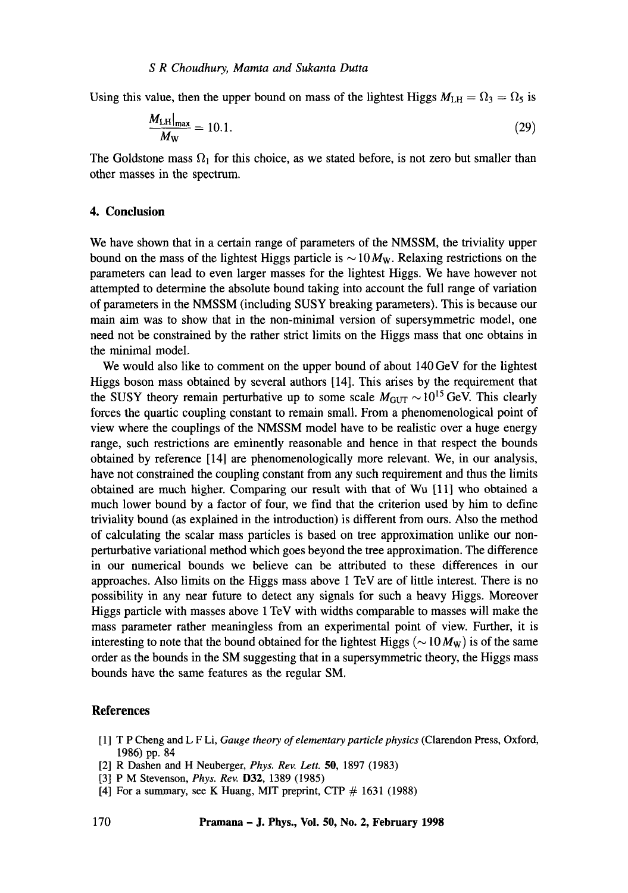### *S R Choudhury, Mamta and Sukanta Durra*

Using this value, then the upper bound on mass of the lightest Higgs  $M_{\text{LH}} = \Omega_3 = \Omega_5$  is

$$
\frac{M_{\text{LH}}|_{\text{max}}}{M_{\text{W}}} = 10.1. \tag{29}
$$

The Goldstone mass  $\Omega_1$  for this choice, as we stated before, is not zero but smaller than other masses in the spectrum.

### **4. Conclusion**

We have shown that in a certain range of parameters of the NMSSM, the triviality upper bound on the mass of the lightest Higgs particle is  $\sim 10 M_W$ . Relaxing restrictions on the parameters can lead to even larger masses for the lightest Higgs. We have however not attempted to determine the absolute bound taking into account the full range of variation of parameters in the NMSSM (including SUSY breaking parameters). This is because **our**  main aim was to show that in the non-minimal version of supersymmetric model, one need not be constrained by the rather strict limits on the Higgs mass that one obtains in the minimal model.

We would also like to comment on the upper bound of about 140 GeV for the lightest Higgs boson mass obtained by several authors [14]. This arises by the requirement that the SUSY theory remain perturbative up to some scale  $M_{\text{GUT}} \sim 10^{15} \text{ GeV}$ . This clearly forces the quartic coupling constant to remain small. From a phenomenological point of view where the couplings of the NMSSM model have to be realistic over a huge energy range, such restrictions are eminently reasonable and hence in that respect the bounds obtained by reference [14] are phenomenologically more relevant. We, in our analysis, have not constrained the coupling constant from any such requirement and thus the limits obtained are much higher. Comparing our result with that of Wu [11] who obtained a much lower bound by a factor of four, we find that the criterion used by him to define triviality bound (as explained in the introduction) is different from ours. Also the method of calculating the scalar mass particles is based on tree approximation unlike our nonperturbative variational method which goes beyond the tree approximation. The difference in our numerical bounds we believe can be attributed to these differences in our approaches. Also limits on the Higgs mass above 1 TeV are of little interest. There is no possibility in any near future to detect any signals for such a heavy Higgs. Moreover Higgs particle with masses above 1 TeV with widths comparable to masses will make the mass parameter rather meaningless from an experimental point of view. Further, it is interesting to note that the bound obtained for the lightest Higgs ( $\sim 10 M_{\rm W}$ ) is of the same order as the bounds in the SM suggesting that in a supersymmetric theory, the Higgs mass bounds have the same features as the regular SM.

#### **References**

- [ 1 ] T P Cheng and L F Li, *Gauge theory of elementary particle physics* (Clarendon Press, Oxford, 1986) pp. 84
- [2] R Dashen and H Neuberger, *Phys. Rev. Lett.* 50, 1897 (1983)
- [3] P M Stevenson, *Phys. Rev.* D32, 1389 (1985)
- [4] For a summary, see K Huang, MIT preprint, CTP  $# 1631$  (1988)